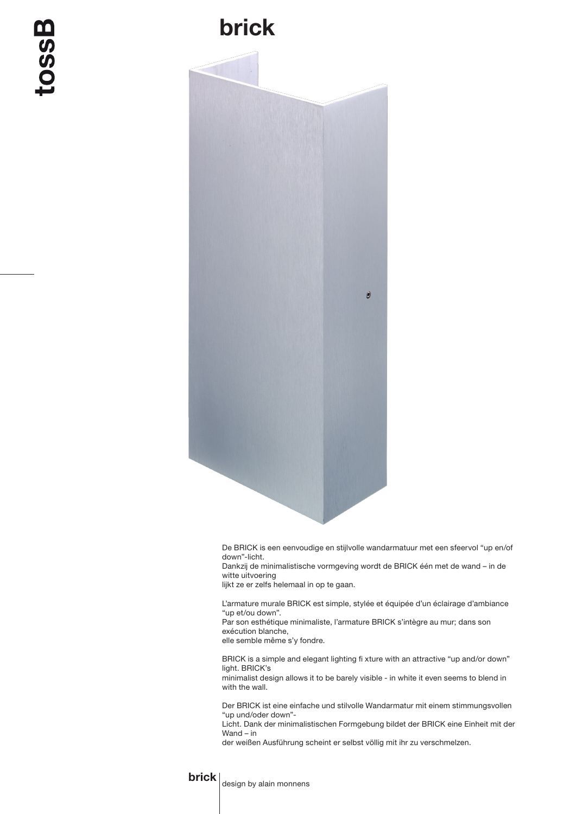## brick



De BRICK is een eenvoudige en stijlvolle wandarmatuur met een sfeervol "up en/of down"-licht.

Dankzij de minimalistische vormgeving wordt de BRICK één met de wand – in de witte uitvoering

lijkt ze er zelfs helemaal in op te gaan.

L'armature murale BRICK est simple, stylée et équipée d'un éclairage d'ambiance "up et/ou down".

Par son esthétique minimaliste, l'armature BRICK s'intègre au mur; dans son exécution blanche,

elle semble même s'y fondre.

BRICK is a simple and elegant lighting fi xture with an attractive "up and/or down" light. BRICK's

minimalist design allows it to be barely visible - in white it even seems to blend in with the wall.

Der BRICK ist eine einfache und stilvolle Wandarmatur mit einem stimmungsvollen "up und/oder down"-

Licht. Dank der minimalistischen Formgebung bildet der BRICK eine Einheit mit der Wand – in

der weißen Ausführung scheint er selbst völlig mit ihr zu verschmelzen.